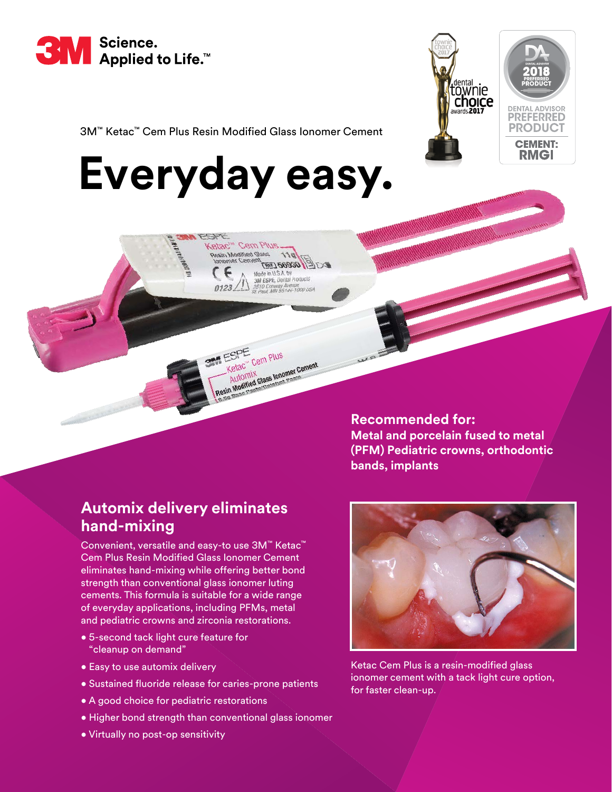



3M™ Ketac™ Cem Plus Resin Modified Glass Ionomer Cement

# **Everyday easy.**

Ketac<sup>iw</sup> Cem Plu ihoM nis

> OCCOC (387) Made in U.S.A. by **3M ESPE, Dental Products** 10 Conway Avenue<br>Best ABN 55144-1000 USA

Cem Plus

C" Cem<br>OMIX<br>dified Glass lonomer Cem<br>dified Glassaugs Pease

FSPE



## **Automix delivery eliminates hand-mixing**

Convenient, versatile and easy-to use 3M™ Ketac™ Cem Plus Resin Modified Glass Ionomer Cement eliminates hand-mixing while offering better bond strength than conventional glass ionomer luting cements. This formula is suitable for a wide range of everyday applications, including PFMs, metal and pediatric crowns and zirconia restorations.

- 5-second tack light cure feature for "cleanup on demand"
- Easy to use automix delivery
- Sustained fluoride release for caries-prone patients
- A good choice for pediatric restorations
- Higher bond strength than conventional glass ionomer
- Virtually no post-op sensitivity



Ketac Cem Plus is a resin-modified glass ionomer cement with a tack light cure option, for faster clean-up.